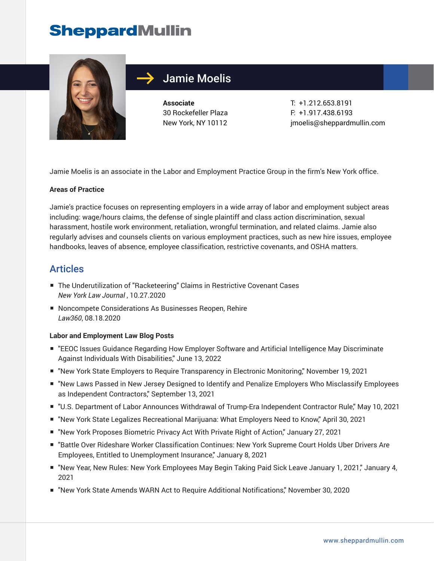# **SheppardMullin**



## Jamie Moelis

**Associate** 30 Rockefeller Plaza New York, NY 10112

T: +1.212.653.8191 F: +1.917.438.6193 jmoelis@sheppardmullin.com

Jamie Moelis is an associate in the Labor and Employment Practice Group in the firm's New York office.

#### **Areas of Practice**

Jamie's practice focuses on representing employers in a wide array of labor and employment subject areas including: wage/hours claims, the defense of single plaintiff and class action discrimination, sexual harassment, hostile work environment, retaliation, wrongful termination, and related claims. Jamie also regularly advises and counsels clients on various employment practices, such as new hire issues, employee handbooks, leaves of absence, employee classification, restrictive covenants, and OSHA matters.

### Articles

- The Underutilization of "Racketeering" Claims in Restrictive Covenant Cases *New York Law Journal* , 10.27.2020
- Noncompete Considerations As Businesses Reopen, Rehire *Law360*, 08.18.2020

#### **Labor and Employment Law Blog Posts**

- "EEOC Issues Guidance Regarding How Employer Software and Artificial Intelligence May Discriminate Against Individuals With Disabilities," June 13, 2022
- "New York State Employers to Require Transparency in Electronic Monitoring," November 19, 2021
- "New Laws Passed in New Jersey Designed to Identify and Penalize Employers Who Misclassify Employees as Independent Contractors," September 13, 2021
- "U.S. Department of Labor Announces Withdrawal of Trump-Era Independent Contractor Rule," May 10, 2021
- "New York State Legalizes Recreational Marijuana: What Employers Need to Know," April 30, 2021
- "New York Proposes Biometric Privacy Act With Private Right of Action," January 27, 2021
- "Battle Over Rideshare Worker Classification Continues: New York Supreme Court Holds Uber Drivers Are Employees, Entitled to Unemployment Insurance," January 8, 2021
- "New Year, New Rules: New York Employees May Begin Taking Paid Sick Leave January 1, 2021," January 4, 2021
- "New York State Amends WARN Act to Require Additional Notifications," November 30, 2020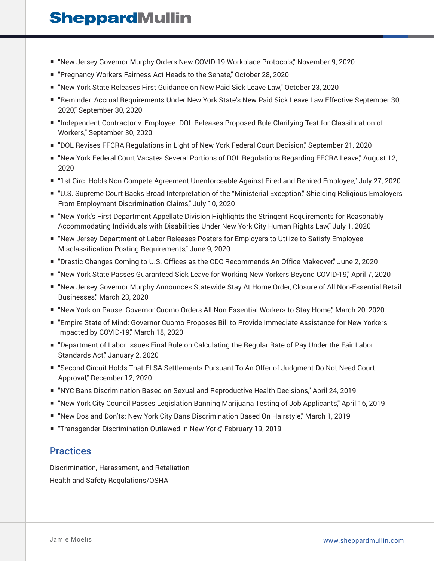# **SheppardMullin**

- "New Jersey Governor Murphy Orders New COVID-19 Workplace Protocols," November 9, 2020
- "Pregnancy Workers Fairness Act Heads to the Senate," October 28, 2020
- "New York State Releases First Guidance on New Paid Sick Leave Law," October 23, 2020
- "Reminder: Accrual Requirements Under New York State's New Paid Sick Leave Law Effective September 30, 2020," September 30, 2020
- "Independent Contractor v. Employee: DOL Releases Proposed Rule Clarifying Test for Classification of Workers," September 30, 2020
- "DOL Revises FFCRA Regulations in Light of New York Federal Court Decision," September 21, 2020
- "New York Federal Court Vacates Several Portions of DOL Regulations Regarding FFCRA Leave," August 12, 2020
- "1st Circ. Holds Non-Compete Agreement Unenforceable Against Fired and Rehired Employee," July 27, 2020
- "U.S. Supreme Court Backs Broad Interpretation of the "Ministerial Exception," Shielding Religious Employers From Employment Discrimination Claims," July 10, 2020
- "New York's First Department Appellate Division Highlights the Stringent Requirements for Reasonably Accommodating Individuals with Disabilities Under New York City Human Rights Law," July 1, 2020
- "New Jersey Department of Labor Releases Posters for Employers to Utilize to Satisfy Employee Misclassification Posting Requirements," June 9, 2020
- "Drastic Changes Coming to U.S. Offices as the CDC Recommends An Office Makeover," June 2, 2020
- "New York State Passes Guaranteed Sick Leave for Working New Yorkers Beyond COVID-19," April 7, 2020
- "New Jersey Governor Murphy Announces Statewide Stay At Home Order, Closure of All Non-Essential Retail Businesses," March 23, 2020
- "New York on Pause: Governor Cuomo Orders All Non-Essential Workers to Stay Home," March 20, 2020
- "Empire State of Mind: Governor Cuomo Proposes Bill to Provide Immediate Assistance for New Yorkers Impacted by COVID-19," March 18, 2020
- "Department of Labor Issues Final Rule on Calculating the Regular Rate of Pay Under the Fair Labor Standards Act," January 2, 2020
- "Second Circuit Holds That FLSA Settlements Pursuant To An Offer of Judgment Do Not Need Court Approval," December 12, 2020
- "NYC Bans Discrimination Based on Sexual and Reproductive Health Decisions," April 24, 2019
- "New York City Council Passes Legislation Banning Marijuana Testing of Job Applicants," April 16, 2019
- "New Dos and Don'ts: New York City Bans Discrimination Based On Hairstyle," March 1, 2019
- "Transgender Discrimination Outlawed in New York," February 19, 2019

### **Practices**

Discrimination, Harassment, and Retaliation Health and Safety Regulations/OSHA